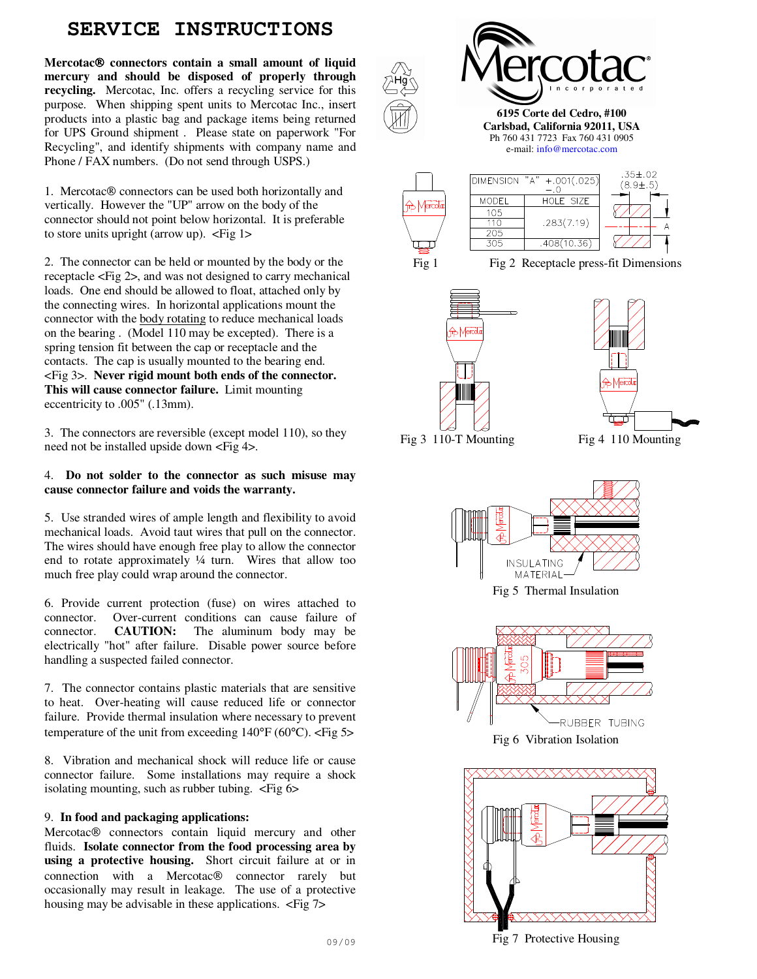## **SERVICE INSTRUCTIONS**

**Mercotac connectors contain a small amount of liquid mercury and should be disposed of properly through recycling.** Mercotac, Inc. offers a recycling service for this purpose. When shipping spent units to Mercotac Inc., insert products into a plastic bag and package items being returned for UPS Ground shipment . Please state on paperwork "For Recycling", and identify shipments with company name and Phone / FAX numbers. (Do not send through USPS.)

1. Mercotac<sup>®</sup> connectors can be used both horizontally and vertically. However the "UP" arrow on the body of the connector should not point below horizontal. It is preferable to store units upright (arrow up).  $\leq$  Fig 1>

2. The connector can be held or mounted by the body or the receptacle <Fig 2>, and was not designed to carry mechanical loads. One end should be allowed to float, attached only by the connecting wires. In horizontal applications mount the connector with the body rotating to reduce mechanical loads on the bearing . (Model 110 may be excepted). There is a spring tension fit between the cap or receptacle and the contacts. The cap is usually mounted to the bearing end. <Fig 3>. **Never rigid mount both ends of the connector. This will cause connector failure.** Limit mounting eccentricity to .005" (.13mm).

3. The connectors are reversible (except model 110), so they need not be installed upside down <Fig 4>.

### 4. **Do not solder to the connector as such misuse may cause connector failure and voids the warranty.**

5. Use stranded wires of ample length and flexibility to avoid mechanical loads. Avoid taut wires that pull on the connector. The wires should have enough free play to allow the connector end to rotate approximately ¼ turn. Wires that allow too much free play could wrap around the connector.

6. Provide current protection (fuse) on wires attached to connector. Over-current conditions can cause failure of connector. **CAUTION:** The aluminum body may be connector. **CAUTION:** The aluminum body may be electrically "hot" after failure. Disable power source before handling a suspected failed connector.

7. The connector contains plastic materials that are sensitive to heat. Over-heating will cause reduced life or connector failure. Provide thermal insulation where necessary to prevent temperature of the unit from exceeding  $140^{\circ}F (60^{\circ}C)$ . <Fig 5>

8. Vibration and mechanical shock will reduce life or cause connector failure. Some installations may require a shock isolating mounting, such as rubber tubing.  $\langle$ Fig 6 $\rangle$ 

### 9. **In food and packaging applications:**

Mercotac<sup>®</sup> connectors contain liquid mercury and other fluids. **Isolate connector from the food processing area by using a protective housing.** Short circuit failure at or in connection with a Mercotac® connector rarely but occasionally may result in leakage. The use of a protective housing may be advisable in these applications. <Fig 7>